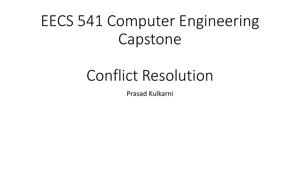# EECS 541 Computer Engineering Capstone

## Conflict Resolution

Prasad Kulkarni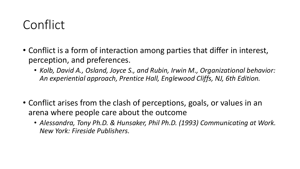#### **Conflict**

- Conflict is a form of interaction among parties that differ in interest, perception, and preferences.
	- *Kolb, David A., Osland, Joyce S., and Rubin, Irwin M., Organizational behavior: An experiential approach, Prentice Hall, Englewood Cliffs, NJ, 6th Edition.*
- Conflict arises from the clash of perceptions, goals, or values in an arena where people care about the outcome
	- *Alessandra, Tony Ph.D. & Hunsaker, Phil Ph.D. (1993) Communicating at Work. New York: Fireside Publishers.*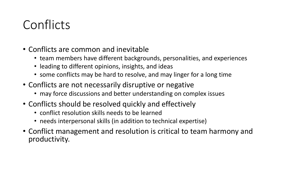#### **Conflicts**

- Conflicts are common and inevitable
	- team members have different backgrounds, personalities, and experiences
	- leading to different opinions, insights, and ideas
	- some conflicts may be hard to resolve, and may linger for a long time
- Conflicts are not necessarily disruptive or negative
	- may force discussions and better understanding on complex issues
- Conflicts should be resolved quickly and effectively
	- conflict resolution skills needs to be learned
	- needs interpersonal skills (in addition to technical expertise)
- Conflict management and resolution is critical to team harmony and productivity.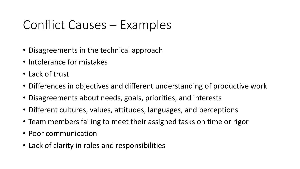#### Conflict Causes – Examples

- Disagreements in the technical approach
- Intolerance for mistakes
- Lack of trust
- Differences in objectives and different understanding of productive work
- Disagreements about needs, goals, priorities, and interests
- Different cultures, values, attitudes, languages, and perceptions
- Team members failing to meet their assigned tasks on time or rigor
- Poor communication
- Lack of clarity in roles and responsibilities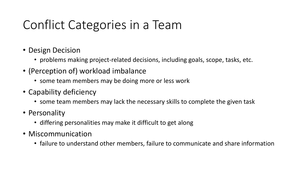## Conflict Categories in a Team

- Design Decision
	- problems making project-related decisions, including goals, scope, tasks, etc.
- (Perception of) workload imbalance
	- some team members may be doing more or less work
- Capability deficiency
	- some team members may lack the necessary skills to complete the given task
- Personality
	- differing personalities may make it difficult to get along
- Miscommunication
	- failure to understand other members, failure to communicate and share information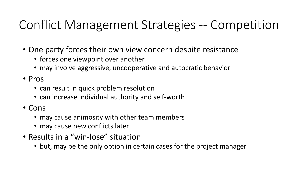## Conflict Management Strategies -- Competition

- One party forces their own view concern despite resistance
	- forces one viewpoint over another
	- may involve aggressive, uncooperative and autocratic behavior
- Pros
	- can result in quick problem resolution
	- can increase individual authority and self-worth
- Cons
	- may cause animosity with other team members
	- may cause new conflicts later
- Results in a "win-lose" situation
	- but, may be the only option in certain cases for the project manager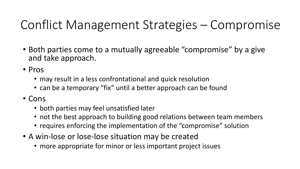## Conflict Management Strategies – Compromise

• Both parties come to a mutually agreeable "compromise" by a give and take approach.

• Pros

- may result in a less confrontational and quick resolution
- can be a temporary "fix" until a better approach can be found
- Cons
	- both parties may feel unsatisfied later
	- not the best approach to building good relations between team members
	- requires enforcing the implementation of the "compromise" solution
- A win-lose or lose-lose situation may be created
	- more appropriate for minor or less important project issues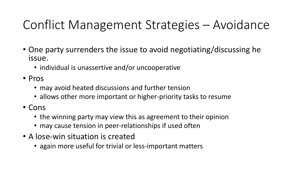### Conflict Management Strategies – Avoidance

- One party surrenders the issue to avoid negotiating/discussing he issue.
	- individual is unassertive and/or uncooperative
- Pros
	- may avoid heated discussions and further tension
	- allows other more important or higher-priority tasks to resume
- Cons
	- the winning party may view this as agreement to their opinion
	- may cause tension in peer-relationships if used often
- A lose-win situation is created
	- again more useful for trivial or less-important matters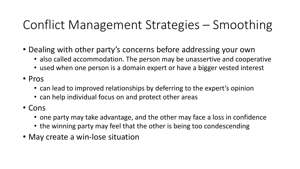### Conflict Management Strategies – Smoothing

- Dealing with other party's concerns before addressing your own
	- also called accommodation. The person may be unassertive and cooperative
	- used when one person is a domain expert or have a bigger vested interest
- Pros
	- can lead to improved relationships by deferring to the expert's opinion
	- can help individual focus on and protect other areas
- Cons
	- one party may take advantage, and the other may face a loss in confidence
	- the winning party may feel that the other is being too condescending
- May create a win-lose situation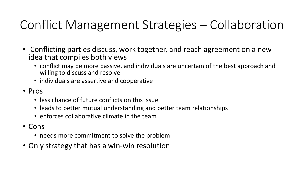## Conflict Management Strategies – Collaboration

- Conflicting parties discuss, work together, and reach agreement on a new idea that compiles both views
	- conflict may be more passive, and individuals are uncertain of the best approach and willing to discuss and resolve
	- individuals are assertive and cooperative
- Pros
	- less chance of future conflicts on this issue
	- leads to better mutual understanding and better team relationships
	- enforces collaborative climate in the team
- Cons
	- needs more commitment to solve the problem
- Only strategy that has a win-win resolution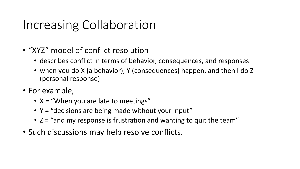#### Increasing Collaboration

- "XYZ" model of conflict resolution
	- describes conflict in terms of behavior, consequences, and responses:
	- when you do X (a behavior), Y (consequences) happen, and then I do Z (personal response)
- For example,
	- X = "When you are late to meetings"
	- Y = "decisions are being made without your input"
	- $Z =$  "and my response is frustration and wanting to quit the team"
- Such discussions may help resolve conflicts.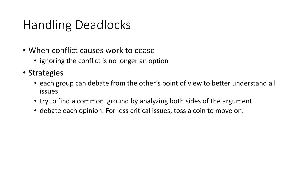#### Handling Deadlocks

- When conflict causes work to cease
	- ignoring the conflict is no longer an option
- Strategies
	- each group can debate from the other's point of view to better understand all issues
	- try to find a common ground by analyzing both sides of the argument
	- debate each opinion. For less critical issues, toss a coin to move on.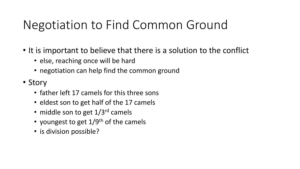#### Negotiation to Find Common Ground

- It is important to believe that there is a solution to the conflict
	- else, reaching once will be hard
	- negotiation can help find the common ground
- Story
	- father left 17 camels for this three sons
	- eldest son to get half of the 17 camels
	- middle son to get  $1/3^{rd}$  camels
	- youngest to get  $1/9$ <sup>th</sup> of the camels
	- is division possible?